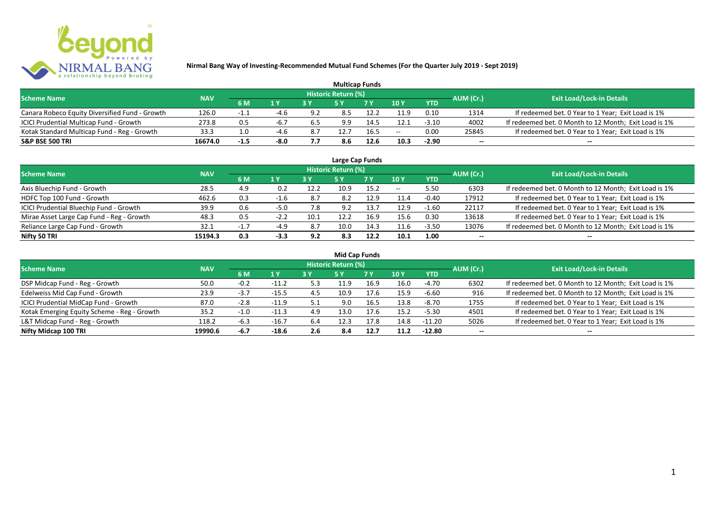

|                                                |            |        |        |     |                     | <b>Multicap Funds</b> |       |            |           |                                                       |
|------------------------------------------------|------------|--------|--------|-----|---------------------|-----------------------|-------|------------|-----------|-------------------------------------------------------|
| <b>Scheme Name</b>                             | <b>NAV</b> |        |        |     | Historic Return (%) |                       |       |            | AUM (Cr.) | <b>Exit Load/Lock-in Details</b>                      |
|                                                |            | 6 M    | 1 Y    |     |                     | 7 V                   | 10 Y  | <b>YTD</b> |           |                                                       |
| Canara Robeco Equity Diversified Fund - Growth | 126.0      | $-1.1$ | -4.6   | 9.2 | 8.5                 |                       | 11.9  | 0.10       | 1314      | If redeemed bet. 0 Year to 1 Year; Exit Load is 1%    |
| ICICI Prudential Multicap Fund - Growth        | 273.8      | 0.5    | -6.7   | 6.5 | 9.9                 | 14.5                  | 12.1  | $-3.10$    | 4002      | If redeemed bet. 0 Month to 12 Month; Exit Load is 1% |
| Kotak Standard Multicap Fund - Reg - Growth    | 33.3       |        | -4.6   | 8.7 |                     | 16.5                  | $- -$ | 0.00       | 25845     | If redeemed bet. 0 Year to 1 Year; Exit Load is 1%    |
| <b>S&amp;P BSE 500 TRI</b>                     | 16674.0    | $-1.5$ | $-8.0$ | 7.7 | 8.6                 | 12.6                  | 10.3  | $-2.90$    | $- -$     | $- -$                                                 |

|                                           |            |        |        |      |                            | Large Cap Funds |       |            |           |                                                       |
|-------------------------------------------|------------|--------|--------|------|----------------------------|-----------------|-------|------------|-----------|-------------------------------------------------------|
| <b>Scheme Name</b>                        | <b>NAV</b> |        |        |      | <b>Historic Return (%)</b> |                 |       |            | AUM (Cr.) | <b>Exit Load/Lock-in Details</b>                      |
|                                           |            | 6 M    | 1Y     | 3 Y  | <b>5 Y</b>                 | <b>7Y</b>       | 10Y   | <b>YTD</b> |           |                                                       |
| Axis Bluechip Fund - Growth               | 28.5       | 4.9    | 0.2    | 12.2 | 10.9                       | 15.2            | $- -$ | 5.50       | 6303      | If redeemed bet. 0 Month to 12 Month; Exit Load is 1% |
| HDFC Top 100 Fund - Growth                | 462.6      | 0.3    | -1.6   | -8.7 | 8.2                        | 12.9            | 11.4  | $-0.40$    | 17912     | If redeemed bet. 0 Year to 1 Year; Exit Load is 1%    |
| ICICI Prudential Bluechip Fund - Growth   | 39.9       | 0.6    | -5.0   | 7.8  | 9.2                        | 13.7            | 12.9  | $-1.60$    | 22117     | If redeemed bet. 0 Year to 1 Year; Exit Load is 1%    |
| Mirae Asset Large Cap Fund - Reg - Growth | 48.3       | 0.5    | $-2.2$ | 10.1 | 12.2                       | 16.9            | 15.6  | 0.30       | 13618     | If redeemed bet. 0 Year to 1 Year; Exit Load is 1%    |
| Reliance Large Cap Fund - Growth          | 32.1       | $-1.7$ | $-4.9$ | 8.7  | 10.0                       | 14.3            | 11.6  | $-3.50$    | 13076     | If redeemed bet. 0 Month to 12 Month; Exit Load is 1% |
| Nifty 50 TRI                              | 15194.3    | 0.3    | $-3.3$ | 9.2  | 8.3                        | 12.2            | 10.1  | 1.00       |           | $- -$                                                 |

| <b>Mid Cap Funds</b>                        |            |        |         |     |                     |           |      |            |           |                                                       |  |  |  |  |
|---------------------------------------------|------------|--------|---------|-----|---------------------|-----------|------|------------|-----------|-------------------------------------------------------|--|--|--|--|
| <b>Scheme Name</b>                          | <b>NAV</b> |        |         |     | Historic Return (%) |           |      |            | AUM (Cr.) | <b>Exit Load/Lock-in Details</b>                      |  |  |  |  |
|                                             |            | 6 M    | 1 Y     |     | 5 Y                 | <b>7Y</b> | 10Y  | <b>YTD</b> |           |                                                       |  |  |  |  |
| DSP Midcap Fund - Reg - Growth              | 50.0       | $-0.2$ | $-11.2$ | 5.3 | 11.9                | 16.9      | 16.0 | -4.70      | 6302      | If redeemed bet. 0 Month to 12 Month; Exit Load is 1% |  |  |  |  |
| Edelweiss Mid Cap Fund - Growth             | 23.9       | $-3.7$ | $-15.5$ | 4.5 | 10.9                | 17.6      | 15.9 | $-6.60$    | 916       | If redeemed bet. 0 Month to 12 Month; Exit Load is 1% |  |  |  |  |
| ICICI Prudential MidCap Fund - Growth       | 87.0       | $-2.8$ | $-11.9$ | 5.1 | 9.0                 | 16.5      | 13.8 | -8.70      | 1755      | If redeemed bet. 0 Year to 1 Year; Exit Load is 1%    |  |  |  |  |
| Kotak Emerging Equity Scheme - Reg - Growth | 35.2       | $-1.0$ | $-11.3$ | 4.9 | 13.0                | 17.6      | 15.2 | $-5.30$    | 4501      | If redeemed bet. 0 Year to 1 Year; Exit Load is 1%    |  |  |  |  |
| L&T Midcap Fund - Reg - Growth              | 118.2      | $-6.3$ | $-16.7$ | 6.4 | 12.3                | 17.8      | 14.8 | $-11.20$   | 5026      | If redeemed bet. 0 Year to 1 Year; Exit Load is 1%    |  |  |  |  |
| Nifty Midcap 100 TRI                        | 19990.6    | -6.7   | $-18.6$ | 2.6 | 8.4                 | 12.7      | 11.2 | $-12.80$   | $- -$     | $- -$                                                 |  |  |  |  |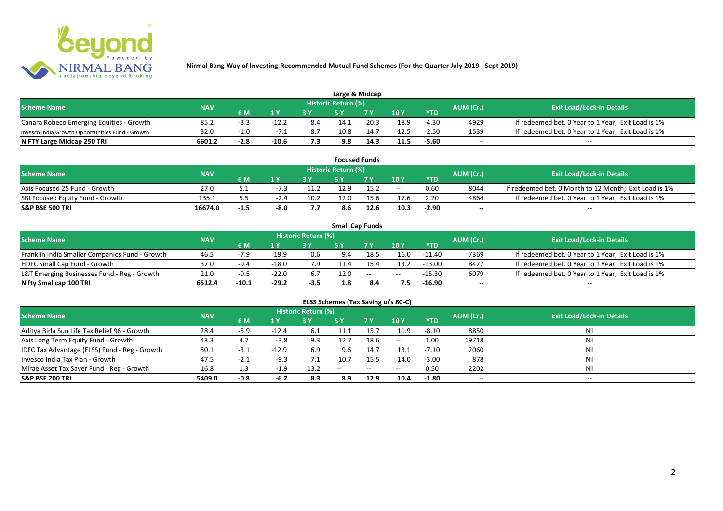

| Large & Midcap                                   |            |        |                   |     |                            |      |      |            |           |                                                    |  |  |  |
|--------------------------------------------------|------------|--------|-------------------|-----|----------------------------|------|------|------------|-----------|----------------------------------------------------|--|--|--|
| <b>Scheme Name</b>                               | <b>NAV</b> |        |                   |     | <b>Historic Return (%)</b> |      |      |            | AUM (Cr.) | <b>Exit Load/Lock-in Details</b>                   |  |  |  |
|                                                  |            | 6 M    | $\bm{A}$ $\bm{V}$ |     |                            | 7 V  | 10Y  | <b>YTD</b> |           |                                                    |  |  |  |
| Canara Robeco Emerging Equities - Growth         | 85.2       | -3.3   | $-12.2$           | 8.4 | 14.1                       | 20.3 | 18.9 | $-4.30$    | 4929      | If redeemed bet. 0 Year to 1 Year; Exit Load is 1% |  |  |  |
| Invesco India Growth Opportunities Fund - Growth | 32.0       |        |                   | 8.7 | 10.8                       | 14.7 | 12.5 | $-2.50$    | 1539      | If redeemed bet. 0 Year to 1 Year; Exit Load is 1% |  |  |  |
| NIFTY Large Midcap 250 TRI                       | 6601.2     | $-2.8$ | $-10.6$           |     | 9.8                        | 14.3 | 11.5 | $-5.60$    | $- -$     | $- -$                                              |  |  |  |

|                                  |            |      |        |      |                            | <b>Focused Funds</b> |       |            |                  |                                                       |
|----------------------------------|------------|------|--------|------|----------------------------|----------------------|-------|------------|------------------|-------------------------------------------------------|
| <b>Scheme Name</b>               | <b>NAV</b> |      |        |      | <b>Historic Return (%)</b> |                      |       |            | <b>AUM</b> (Cr.) | <b>Exit Load/Lock-in Details</b>                      |
|                                  |            | 6 M  | 1 V    |      |                            | 7 V                  | 10Y   | <b>YTD</b> |                  |                                                       |
| Axis Focused 25 Fund - Growth    | 27.0       |      | -7.3   | 11.2 | 12.9                       | 15.2                 | $- -$ | 0.60       | 8044             | If redeemed bet. 0 Month to 12 Month; Exit Load is 1% |
| SBI Focused Equity Fund - Growth | 135.1      |      | $-2.4$ | 10.2 | 12.0                       | 15.6                 | 17.6  | 2.20       | 4864             | If redeemed bet. 0 Year to 1 Year; Exit Load is 1%    |
| <b>S&amp;P BSE 500 TRI</b>       | 16674.0    | -1.5 | -8.0   | - -  | 8.6                        | 12.6                 | 10.3  | $-2.90$    | $- -$            | $- -$                                                 |

|                                                |            |         |         |                     |      | <b>Small Cap Funds</b>                         |       |            |           |                                                    |
|------------------------------------------------|------------|---------|---------|---------------------|------|------------------------------------------------|-------|------------|-----------|----------------------------------------------------|
| <b>Scheme Name</b>                             | <b>NAV</b> |         |         | Historic Return (%) |      |                                                |       |            | AUM (Cr.) | <b>Exit Load/Lock-in Details</b>                   |
|                                                |            | 6 M     | 1 Y     |                     |      | 7 V                                            | 10Y   | <b>YTD</b> |           |                                                    |
| Franklin India Smaller Companies Fund - Growth | 46.5       | $-7.9$  | $-19.9$ | 0.6                 | 9.4  | 18.5                                           | 16.0  | -11.40     | 7369      | If redeemed bet. 0 Year to 1 Year; Exit Load is 1% |
| HDFC Small Cap Fund - Growth                   | 37.0       | $-9.4$  | $-18.0$ |                     |      |                                                | 13.2  | $-13.00$   | 8427      | If redeemed bet. 0 Year to 1 Year; Exit Load is 1% |
| L&T Emerging Businesses Fund - Reg - Growth    | 21.0       | -9.5    | $-22.0$ | 6.7                 | 12.0 | $\hspace{0.1mm}-\hspace{0.1mm}-\hspace{0.1mm}$ | $- -$ | $-15.30$   | 6079      | If redeemed bet. 0 Year to 1 Year; Exit Load is 1% |
| Nifty Smallcap 100 TRI                         | 6512.4     | $-10.1$ | $-29.2$ | $-3.5$              | 1.8  |                                                |       | $-16.90$   | $- -$     | $\overline{\phantom{a}}$                           |

# **ELSS Schemes (Tax Saving u/s 80-C)**

| <b>Scheme Name</b>                            | <b>NAV</b> |        |         | <b>Historic Return (%)</b> |            |            |       |            | AUM (Cr.) | Exit Load/Lock-in Details |
|-----------------------------------------------|------------|--------|---------|----------------------------|------------|------------|-------|------------|-----------|---------------------------|
|                                               |            | 6 M    | 1 Y     |                            | <b>5 Y</b> | <b>7 Y</b> | 10Y   | <b>YTD</b> |           |                           |
| Aditya Birla Sun Life Tax Relief 96 - Growth  | 28.4       | $-5.9$ | $-12.4$ | -6.1                       | 11.1       | 15.7       | 11.9  | $-8.10$    | 8850      | Nil                       |
| Axis Long Term Equity Fund - Growth           | 43.3       | 4.7    | $-3.8$  | 9.3                        | 12.7       | 18.6       | $- -$ | 1.00       | 19718     | Nil                       |
| IDFC Tax Advantage (ELSS) Fund - Reg - Growth | 50.1       | -3.1   | $-12.9$ | 6.9                        | 9.6        | 14.7       | 13.1  | $-7.10$    | 2060      | Nil                       |
| Invesco India Tax Plan - Growth               | 47.5       | $-2.1$ | $-9.3$  |                            | 10.7       | 15.5       | 14.0  | $-3.00$    | 878       | Nil                       |
| Mirae Asset Tax Saver Fund - Reg - Growth     | 16.8       | 1.3    | $-1.9$  | 13.2                       | $- -$      | $- -$      | $- -$ | 0.50       | 2202      | Nil                       |
| <b>S&amp;P BSE 200 TRI</b>                    | 5409.0     | $-0.8$ | $-6.2$  | 8.3                        | 8.9        | 12.9       | 10.4  | $-1.80$    | $- -$     | $- -$                     |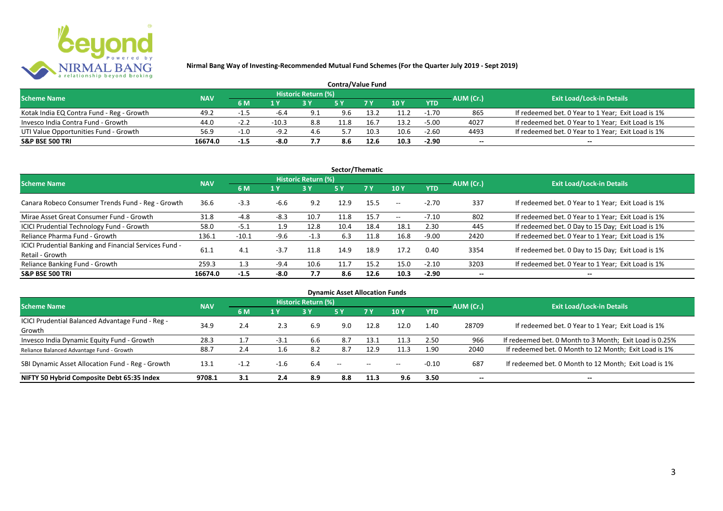

| <b>Contra/Value Fund</b>                  |            |        |         |                     |     |      |        |            |           |                                                    |  |  |  |
|-------------------------------------------|------------|--------|---------|---------------------|-----|------|--------|------------|-----------|----------------------------------------------------|--|--|--|
| <b>Scheme Name</b>                        | <b>NAV</b> |        |         | Historic Return (%) |     |      |        |            | AUM (Cr.) | <b>Exit Load/Lock-in Details</b>                   |  |  |  |
|                                           |            | 6 M    | 1 Y     |                     |     | 7Y   | $-10V$ | <b>YTD</b> |           |                                                    |  |  |  |
| Kotak India EQ Contra Fund - Reg - Growth | 49.2       | -1.5   | -6.4    | 9.1                 | 9.6 | 13.2 | 11.2   | $-1.70$    | 865       | If redeemed bet. 0 Year to 1 Year; Exit Load is 1% |  |  |  |
| Invesco India Contra Fund - Growth        | 44.0       | $-2.2$ | $-10.3$ | 8.8                 |     | 16.  | 13.2   | $-5.00$    | 4027      | If redeemed bet. 0 Year to 1 Year; Exit Load is 1% |  |  |  |
| UTI Value Opportunities Fund - Growth     | 56.9       | $-1.0$ | $-9.2$  | 4.6                 |     | 10.3 | 10.6   | $-2.60$    | 4493      | If redeemed bet. 0 Year to 1 Year; Exit Load is 1% |  |  |  |
| <b>S&amp;P BSE 500 TRI</b>                | 16674.0    | $-1.5$ | -8.0    | 7.7                 | 8.6 | 12.6 | 10.3   | $-2.90$    | $-$       | $- -$                                              |  |  |  |

| Sector/Thematic                                                           |            |         |        |                            |           |           |       |            |           |                                                    |  |  |  |
|---------------------------------------------------------------------------|------------|---------|--------|----------------------------|-----------|-----------|-------|------------|-----------|----------------------------------------------------|--|--|--|
| <b>Scheme Name</b>                                                        | <b>NAV</b> |         |        | <b>Historic Return (%)</b> |           |           |       |            | AUM (Cr.) | <b>Exit Load/Lock-in Details</b>                   |  |  |  |
|                                                                           |            | 6 M     | 1 Y    | 3Y                         | <b>5Y</b> | <b>7Y</b> | 10Y   | <b>YTD</b> |           |                                                    |  |  |  |
| Canara Robeco Consumer Trends Fund - Reg - Growth                         | 36.6       | $-3.3$  | -6.6   | 9.2                        | 12.9      | 15.5      | $- -$ | $-2.70$    | 337       | If redeemed bet. 0 Year to 1 Year; Exit Load is 1% |  |  |  |
| Mirae Asset Great Consumer Fund - Growth                                  | 31.8       | $-4.8$  | $-8.3$ | 10.7                       | 11.8      | 15.7      | $- -$ | $-7.10$    | 802       | If redeemed bet. 0 Year to 1 Year; Exit Load is 1% |  |  |  |
| <b>ICICI Prudential Technology Fund - Growth</b>                          | 58.0       | $-5.1$  | 1.9    | 12.8                       | 10.4      | 18.4      | 18.1  | 2.30       | 445       | If redeemed bet. 0 Day to 15 Day; Exit Load is 1%  |  |  |  |
| Reliance Pharma Fund - Growth                                             | 136.1      | $-10.1$ | -9.6   | $-1.3$                     | 6.3       | 11.8      | 16.8  | $-9.00$    | 2420      | If redeemed bet. 0 Year to 1 Year; Exit Load is 1% |  |  |  |
| ICICI Prudential Banking and Financial Services Fund -<br>Retail - Growth | 61.1       | 4.1     | $-3.7$ | 11.8                       | 14.9      | 18.9      | 17.2  | 0.40       | 3354      | If redeemed bet. 0 Day to 15 Day; Exit Load is 1%  |  |  |  |
| Reliance Banking Fund - Growth                                            | 259.3      | 1.3     | $-9.4$ | 10.6                       | 11.7      | 15.2      | 15.0  | $-2.10$    | 3203      | If redeemed bet. 0 Year to 1 Year; Exit Load is 1% |  |  |  |
| <b>S&amp;P BSE 500 TRI</b>                                                | 16674.0    | $-1.5$  | $-8.0$ | 7.7                        | 8.6       | 12.6      | 10.3  | $-2.90$    |           | --                                                 |  |  |  |

| <b>Dynamic Asset Allocation Funds</b>            |            |        |        |                            |               |            |       |            |                          |                                                         |  |  |  |
|--------------------------------------------------|------------|--------|--------|----------------------------|---------------|------------|-------|------------|--------------------------|---------------------------------------------------------|--|--|--|
| <b>Scheme Name</b>                               | <b>NAV</b> |        |        | <b>Historic Return (%)</b> |               |            |       |            | AUM (Cr.)                | <b>Exit Load/Lock-in Details</b>                        |  |  |  |
|                                                  |            | 6 M    | 1 Y    | 3Y                         | 5 Y           | <b>7Y</b>  | 10Y   | <b>YTD</b> |                          |                                                         |  |  |  |
| ICICI Prudential Balanced Advantage Fund - Reg - | 34.9       | 2.4    | 2.3    |                            | 9.0           | 12.8       | 12.0  | 1.40       | 28709                    | If redeemed bet. 0 Year to 1 Year; Exit Load is 1%      |  |  |  |
| Growth                                           |            |        |        | 6.9                        |               |            |       |            |                          |                                                         |  |  |  |
| Invesco India Dynamic Equity Fund - Growth       | 28.3       |        | $-3.1$ | 6.6                        | 8.7           | 13.1       | 11.3  | 2.50       | 966                      | If redeemed bet. 0 Month to 3 Month; Exit Load is 0.25% |  |  |  |
| Reliance Balanced Advantage Fund - Growth        | 88.7       | 2.4    | 1.6    | 8.2                        | 8.7           | 12.9       | 11.3  | 1.90       | 2040                     | If redeemed bet. 0 Month to 12 Month; Exit Load is 1%   |  |  |  |
| SBI Dynamic Asset Allocation Fund - Reg - Growth | 13.1       | $-1.2$ | $-1.6$ | 6.4                        | $\sim$ $\sim$ | $\sim$ $-$ | $- -$ | $-0.10$    | 687                      | If redeemed bet. 0 Month to 12 Month; Exit Load is 1%   |  |  |  |
| NIFTY 50 Hybrid Composite Debt 65:35 Index       | 9708.1     | 3.1    | 2.4    | 8.9                        | 8.8           | 11.3       | 9.6   | 3.50       | $\overline{\phantom{a}}$ | $- -$                                                   |  |  |  |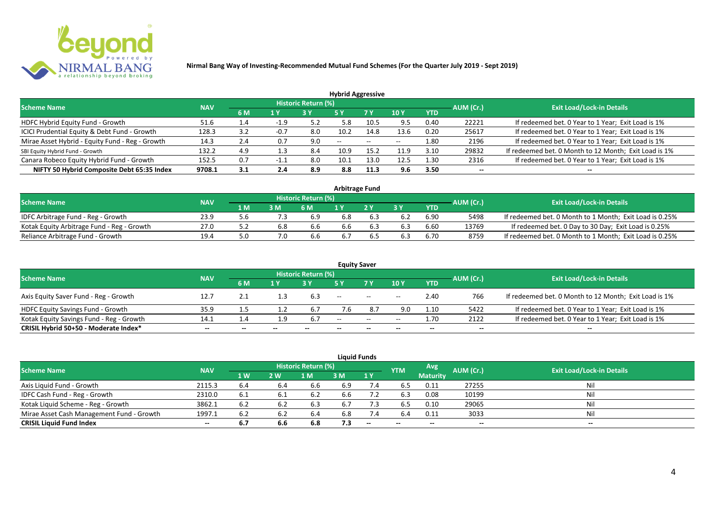

|                                                 |            |     |        |                            | <b>Hybrid Aggressive</b> |                          |                          |            |                          |                                                       |
|-------------------------------------------------|------------|-----|--------|----------------------------|--------------------------|--------------------------|--------------------------|------------|--------------------------|-------------------------------------------------------|
| <b>Scheme Name</b>                              | <b>NAV</b> |     |        | <b>Historic Return (%)</b> |                          |                          |                          |            | AUM (Cr.)                | <b>Exit Load/Lock-in Details</b>                      |
|                                                 |            | 6 M | 1 Y    |                            | 5 Y                      | 7 Y                      | 10Y                      | <b>YTD</b> |                          |                                                       |
| HDFC Hybrid Equity Fund - Growth                | 51.6       | 1.4 | $-1.9$ | 5.2                        | 5.8                      | 10.5                     | 9.5                      | 0.40       | 22221                    | If redeemed bet. 0 Year to 1 Year; Exit Load is 1%    |
| ICICI Prudential Equity & Debt Fund - Growth    | 128.3      | 3.2 | $-0.7$ | 8.0                        | 10.2                     | 14.8                     | 13.6                     | 0.20       | 25617                    | If redeemed bet. 0 Year to 1 Year; Exit Load is 1%    |
| Mirae Asset Hybrid - Equity Fund - Reg - Growth | 14.3       | 2.4 | 0.7    | 9.0                        | $\overline{\phantom{a}}$ | $\overline{\phantom{a}}$ | $\overline{\phantom{a}}$ | 1.80       | 2196                     | If redeemed bet. 0 Year to 1 Year; Exit Load is 1%    |
| SBI Equity Hybrid Fund - Growth                 | 132.2      | 4.9 | 1.3    | 8.4                        | 10.9                     | 15.2                     | 11.9                     | 3.10       | 29832                    | If redeemed bet. 0 Month to 12 Month; Exit Load is 1% |
| Canara Robeco Equity Hybrid Fund - Growth       | 152.5      | 0.7 |        | 8.0                        | 10.1                     | 13.0                     | 12.5                     | 1.30       | 2316                     | If redeemed bet. 0 Year to 1 Year; Exit Load is 1%    |
| NIFTY 50 Hybrid Composite Debt 65:35 Index      | 9708.1     | 3.1 | 2.4    | 8.9                        | 8.8                      | 11.3                     | 9.6                      | 3.50       | $\overline{\phantom{a}}$ | $- -$                                                 |

|                                            |            |     |     |                            |     | Arbitrage Fund |    |            |           |                                                         |
|--------------------------------------------|------------|-----|-----|----------------------------|-----|----------------|----|------------|-----------|---------------------------------------------------------|
| <b>Scheme Name</b>                         | <b>NAV</b> |     |     | <b>Historic Return (%)</b> |     |                |    |            | AUM (Cr.) | <b>Exit Load/Lock-in Details</b>                        |
|                                            |            | 1 M | 3 M | 6 M                        |     | 2V             | эv | <b>YTD</b> |           |                                                         |
| IDFC Arbitrage Fund - Reg - Growth         | 23.9       |     |     | 6.9                        | 6.8 |                |    | 6.90       | 5498      | If redeemed bet. 0 Month to 1 Month; Exit Load is 0.25% |
| Kotak Equity Arbitrage Fund - Reg - Growth | 27.0       |     | 6.8 | 6.6                        | 6.6 | 6.3            |    | 6.60       | 13769     | If redeemed bet. 0 Day to 30 Day; Exit Load is 0.25%    |
| Reliance Arbitrage Fund - Growth           | 19.4       |     |     | 6.6                        | 6.7 |                |    | 6.70       | 8759      | If redeemed bet. 0 Month to 1 Month; Exit Load is 0.25% |

|                                          |            |                          |     |                     |       | <b>Equity Saver</b>                                 |                          |            |           |                                                       |
|------------------------------------------|------------|--------------------------|-----|---------------------|-------|-----------------------------------------------------|--------------------------|------------|-----------|-------------------------------------------------------|
| <b>Scheme Name</b>                       | <b>NAV</b> |                          |     | Historic Return (%) |       |                                                     |                          |            |           | <b>Exit Load/Lock-in Details</b>                      |
|                                          |            | 6 M                      | 1 Y |                     |       | 7 <sub>V</sub>                                      | 10Y                      | <b>YTD</b> | AUM (Cr.) |                                                       |
| Axis Equity Saver Fund - Reg - Growth    | 12.7       | $\mathcal{L}.\mathbf{1}$ |     | 6.3                 | $- -$ | $\hspace{0.1mm}-\hspace{0.1mm}-\hspace{0.1mm}$      | $- -$                    | 2.40       | 766       | If redeemed bet. 0 Month to 12 Month; Exit Load is 1% |
| HDFC Equity Savings Fund - Growth        | 35.9       |                          |     | 6.7                 | 7.6   | 8.7                                                 | 9.0                      | 1.10       | 5422      | If redeemed bet. 0 Year to 1 Year; Exit Load is 1%    |
| Kotak Equity Savings Fund - Reg - Growth | 14.1       | 4.4                      | 1.9 | 6.7                 | $-$   | $\hspace{0.05cm} -\hspace{0.05cm} -\hspace{0.05cm}$ | $\overline{\phantom{a}}$ | 1.70       | 2122      | If redeemed bet. 0 Year to 1 Year; Exit Load is 1%    |
| CRISIL Hybrid 50+50 - Moderate Index*    | $- -$      | --                       |     |                     | --    | $- -$                                               |                          | --         | --        | $- -$                                                 |

|                                           |                                  |           |     |      |     | <b>Liquid Funds</b>      |            |                 |           |       |
|-------------------------------------------|----------------------------------|-----------|-----|------|-----|--------------------------|------------|-----------------|-----------|-------|
| <b>Scheme Name</b>                        | <b>Exit Load/Lock-in Details</b> |           |     |      |     |                          |            |                 |           |       |
|                                           | <b>NAV</b>                       | <b>1W</b> | 2 W | M    | 3 M | 1Y                       | <b>YTM</b> | <b>Maturity</b> | AUM (Cr.) |       |
| Axis Liquid Fund - Growth                 | 2115.3                           | 6.4       |     | 6.6  | 6.9 | 7.4                      | 6.5        | 0.11            | 27255     | Nil   |
| IDFC Cash Fund - Reg - Growth             | 2310.0                           | 6.1       |     | -6.2 | 6.6 |                          | 6.3        | 0.08            | 10199     | Nil   |
| Kotak Liquid Scheme - Reg - Growth        | 3862.1                           | 6.2       | 6.2 | 6.3  | 6.7 | 7.3                      | 6.5        | 0.10            | 29065     | Nil   |
| Mirae Asset Cash Management Fund - Growth | 1997.1                           | 6.2       |     | 6.4  | 6.8 | 7.4                      | 6.4        | 0.11            | 3033      | Nil   |
| <b>CRISIL Liquid Fund Index</b>           | $- -$                            | 6.7       | 6.6 | 6.8  | 7.3 | $\overline{\phantom{a}}$ | $- -$      | $- -$           | $- -$     | $- -$ |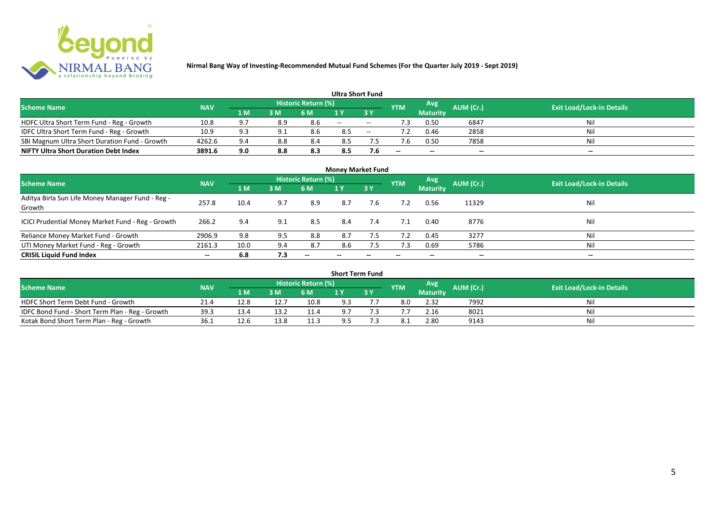

|                                               |            |       |     |                            |       | <b>Ultra Short Fund</b>       |            |                 |           |                                  |
|-----------------------------------------------|------------|-------|-----|----------------------------|-------|-------------------------------|------------|-----------------|-----------|----------------------------------|
| <b>Scheme Name</b>                            | <b>NAV</b> |       |     | <b>Historic Return (%)</b> |       |                               | <b>YTM</b> | Avg             | AUM (Cr.) | <b>Exit Load/Lock-in Details</b> |
|                                               |            | '1 M. | 3 M | 6 M                        |       | $\overline{3}$ $\overline{Y}$ |            | <b>Maturity</b> |           |                                  |
| HDFC Ultra Short Term Fund - Reg - Growth     | 10.8       | 9.7   | 8.9 | 8.6                        | $- -$ | $- -$                         |            | 0.50            | 6847      | Ni!                              |
| IDFC Ultra Short Term Fund - Reg - Growth     | 10.9       | 9.3   |     | 8.6                        | 8.5   | $- -$                         |            | 0.46            | 2858      | Nil                              |
| SBI Magnum Ultra Short Duration Fund - Growth | 4262.6     | 9.4   | 8.8 | 8.4                        | 8.5   |                               |            | 0.50            | 7858      | Nil                              |
| <b>NIFTY Ultra Short Duration Debt Index</b>  | 3891.6     | 9.0   | 8.8 | 8.3                        | 8.5   | 7.6                           | $- -$      | $- -$           | $\sim$    | $- -$                            |

| <b>Money Market Fund</b>                                   |                          |      |     |                     |       |                          |            |                 |                          |                                  |  |  |  |  |
|------------------------------------------------------------|--------------------------|------|-----|---------------------|-------|--------------------------|------------|-----------------|--------------------------|----------------------------------|--|--|--|--|
| <b>Scheme Name</b>                                         | <b>NAV</b>               |      |     | Historic Return (%) |       |                          | <b>YTM</b> | Avg             | AUM (Cr.)                | <b>Exit Load/Lock-in Details</b> |  |  |  |  |
|                                                            |                          | 1 M  | 3M  | 6 M                 | 1Y    | 3Y                       |            | <b>Maturity</b> |                          |                                  |  |  |  |  |
| Aditya Birla Sun Life Money Manager Fund - Reg -<br>Growth | 257.8                    | 10.4 | 9.7 | 8.9                 | 8.7   | 7.6                      |            | 0.56            | 11329                    | Nil                              |  |  |  |  |
| ICICI Prudential Money Market Fund - Reg - Growth          | 266.2                    | 9.4  | 9.1 | 8.5                 | 8.4   | 7.4                      | 7.1        | 0.40            | 8776                     | Nil                              |  |  |  |  |
| Reliance Money Market Fund - Growth                        | 2906.9                   | 9.8  | 9.5 | 8.8                 | 8.7   | 7.5                      | 7.2        | 0.45            | 3277                     | Nil                              |  |  |  |  |
| UTI Money Market Fund - Reg - Growth                       | 2161.3                   | 10.0 | 9.4 | 8.7                 | 8.6   | 7.5                      | 7.3        | 0.69            | 5786                     | Nil                              |  |  |  |  |
| <b>CRISIL Liquid Fund Index</b>                            | $\overline{\phantom{a}}$ | 6.8  | 7.3 | $- -$               | $- -$ | $\overline{\phantom{a}}$ | $- -$      | --              | $\overline{\phantom{a}}$ | $- -$                            |  |  |  |  |

| <b>Short Term Fund</b>                                                                                                               |      |      |      |      |     |     |  |                 |      |     |  |  |  |  |
|--------------------------------------------------------------------------------------------------------------------------------------|------|------|------|------|-----|-----|--|-----------------|------|-----|--|--|--|--|
| <b>Historic Return (%)</b><br>Avg<br>AUM (Cr.)<br><b>Scheme Name</b><br><b>Exit Load/Lock-in Details</b><br><b>YTM</b><br><b>NAV</b> |      |      |      |      |     |     |  |                 |      |     |  |  |  |  |
|                                                                                                                                      |      | 1 M  | 3 M  | 6 M  |     | 3 Y |  | <b>Maturity</b> |      |     |  |  |  |  |
| HDFC Short Term Debt Fund - Growth                                                                                                   | 21.4 | 12.8 | 12.7 | 10.8 | 9.3 |     |  | 2.32            | 7992 | Nil |  |  |  |  |
| IDFC Bond Fund - Short Term Plan - Reg - Growth                                                                                      | 39.3 | 13.4 | 13.2 | 11.4 | 9.7 |     |  | 2.16            | 8021 | Nil |  |  |  |  |
| Kotak Bond Short Term Plan - Reg - Growth                                                                                            | 36.1 | 12.6 | 13.8 | 11.3 | 9.5 |     |  | 2.80            | 9143 | Nil |  |  |  |  |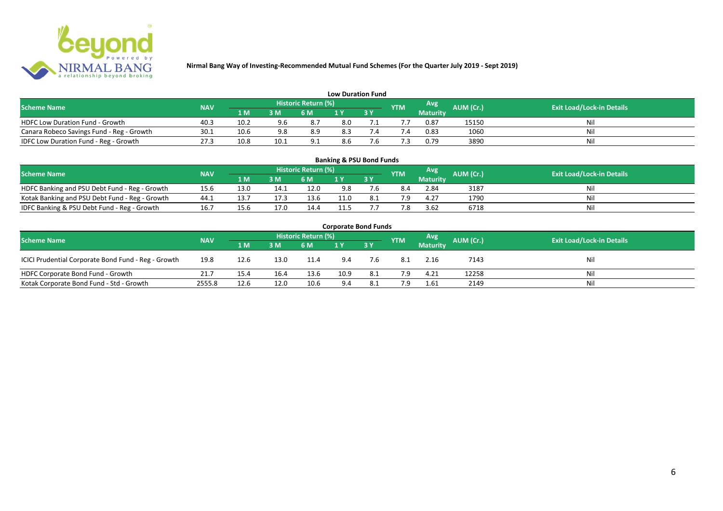

| <b>Low Duration Fund</b>                  |            |      |      |                            |     |  |            |          |           |                                  |  |  |  |  |
|-------------------------------------------|------------|------|------|----------------------------|-----|--|------------|----------|-----------|----------------------------------|--|--|--|--|
| <b>Scheme Name</b>                        | <b>NAV</b> |      |      | <b>Historic Return (%)</b> |     |  | <b>YTM</b> | Avg      | AUM (Cr.) | <b>Exit Load/Lock-in Details</b> |  |  |  |  |
|                                           |            | 1 M  | 3 M  | 6 M                        | 1 Y |  |            | Maturity |           |                                  |  |  |  |  |
| <b>HDFC Low Duration Fund - Growth</b>    | 40.3       | 10.2 | 9.6  | 8.7                        | 8.0 |  |            | 0.87     | 15150     | Nil                              |  |  |  |  |
| Canara Robeco Savings Fund - Reg - Growth | 30.1       | 10.6 | 9.8  | 8.9                        | 8.3 |  | '.4        | 0.83     | 1060      | Nil                              |  |  |  |  |
| IDFC Low Duration Fund - Reg - Growth     | 27.3       | 10.8 | 10.1 | 9.1                        | 8.6 |  |            | 0.79     | 3890      | Nil                              |  |  |  |  |

| <b>Banking &amp; PSU Bond Funds</b>                                                                                                                |      |      |      |      |             |    |     |                 |      |    |  |  |  |  |
|----------------------------------------------------------------------------------------------------------------------------------------------------|------|------|------|------|-------------|----|-----|-----------------|------|----|--|--|--|--|
| <b>Historic Return (%)</b><br><b>Avg</b><br><b>AUM (Cr.)</b><br><b>Exit Load/Lock-in Details</b><br><b>NAV</b><br><b>Scheme Name</b><br><b>YTM</b> |      |      |      |      |             |    |     |                 |      |    |  |  |  |  |
|                                                                                                                                                    |      | 1 M  | 3 M  | 6 M  |             | 3Y |     | <b>Maturity</b> |      |    |  |  |  |  |
| HDFC Banking and PSU Debt Fund - Reg - Growth                                                                                                      | 15.6 | 13.0 | 14.1 | 12.0 | 9.8         |    | 8.4 | 2.84            | 3187 | Ni |  |  |  |  |
| Kotak Banking and PSU Debt Fund - Reg - Growth                                                                                                     | 44.1 |      |      | 13.6 | $\cdot$ 1.0 |    | 7 Q | 4.27            | 1790 | Ni |  |  |  |  |
| IDFC Banking & PSU Debt Fund - Reg - Growth                                                                                                        | 16.7 | 15.6 | 17.0 | 14.4 | 11.5        |    | 7.8 | 3.62            | 6718 | Ni |  |  |  |  |

| <b>Corporate Bond Funds</b>                         |            |      |      |                     |      |            |            |                 |           |                                  |  |  |  |  |
|-----------------------------------------------------|------------|------|------|---------------------|------|------------|------------|-----------------|-----------|----------------------------------|--|--|--|--|
| <b>Scheme Name</b>                                  | <b>NAV</b> |      |      | Historic Return (%) |      |            | <b>YTM</b> | Avg             | AUM (Cr.) | <b>Exit Load/Lock-in Details</b> |  |  |  |  |
|                                                     |            | 1 M  | 3 M  | 6 M                 |      | <b>3 Y</b> |            | <b>Maturity</b> |           |                                  |  |  |  |  |
| ICICI Prudential Corporate Bond Fund - Reg - Growth | 19.8       | 12.6 | 13.0 | 11.4                | 9.4  | 7.6        | 8.1        | 2.16            | 7143      | Nil                              |  |  |  |  |
| HDFC Corporate Bond Fund - Growth                   | 21.7       | 15.4 | 16.4 | 13.6                | 10.9 | 8.1        | 7.9        | 4.21            | 12258     | Nil                              |  |  |  |  |
| Kotak Corporate Bond Fund - Std - Growth            | 2555.8     | 12.6 | 12.0 | 10.6                | 9.4  | 8.1        | 7.9        | 1.61            | 2149      | Nil                              |  |  |  |  |